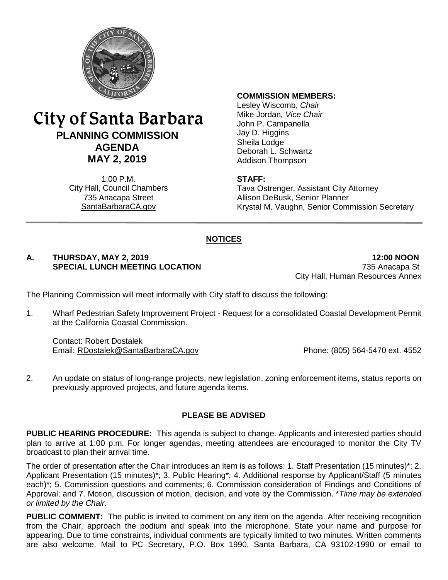

# City of Santa Barbara **PLANNING COMMISSION AGENDA MAY 2, 2019**

1:00 P.M. City Hall, Council Chambers 735 Anacapa Street SantaBarbaraCA.gov

#### **COMMISSION MEMBERS:**

Lesley Wiscomb, *Chair* Mike Jordan*, Vice Chair* John P. Campanella Jay D. Higgins Sheila Lodge Deborah L. Schwartz Addison Thompson

#### **STAFF:**

Tava Ostrenger, Assistant City Attorney Allison DeBusk, Senior Planner Krystal M. Vaughn, Senior Commission Secretary

### **NOTICES**

#### **A. THURSDAY, MAY 2, 2019 12:00 NOON SPECIAL LUNCH MEETING LOCATION** 735 Anacapa St

City Hall, Human Resources Annex

The Planning Commission will meet informally with City staff to discuss the following:

1. Wharf Pedestrian Safety Improvement Project - Request for a consolidated Coastal Development Permit at the California Coastal Commission.

Contact: Robert Dostalek Email: [RDostalek@SantaBarbaraCA.gov](mailto:RDostalek@SantaBarbaraCA.gov) Phone: (805) 564-5470 ext. 4552

2. An update on status of long-range projects, new legislation, zoning enforcement items, status reports on previously approved projects, and future agenda items.

#### **PLEASE BE ADVISED**

**PUBLIC HEARING PROCEDURE:** This agenda is subject to change. Applicants and interested parties should plan to arrive at 1:00 p.m. For longer agendas, meeting attendees are encouraged to monitor the City TV broadcast to plan their arrival time.

The order of presentation after the Chair introduces an item is as follows: 1. Staff Presentation (15 minutes)\*; 2. Applicant Presentation (15 minutes)\*; 3. Public Hearing\*; 4. Additional response by Applicant/Staff (5 minutes each)\*; 5. Commission questions and comments; 6. Commission consideration of Findings and Conditions of Approval; and 7. Motion, discussion of motion, decision, and vote by the Commission. \**Time may be extended or limited by the Chair.*

**PUBLIC COMMENT:** The public is invited to comment on any item on the agenda. After receiving recognition from the Chair, approach the podium and speak into the microphone. State your name and purpose for appearing. Due to time constraints, individual comments are typically limited to two minutes. Written comments are also welcome. Mail to PC Secretary, P.O. Box 1990, Santa Barbara, CA 93102-1990 or email to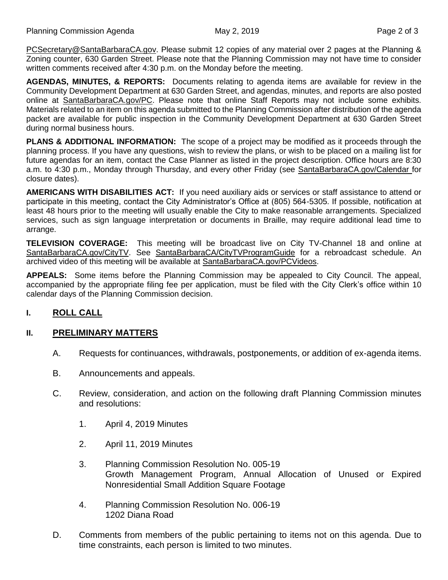[PCSecretary@SantaBarbaraCA.gov.](mailto:PCSecretary@SantaBarbaraCA.gov) Please submit 12 copies of any material over 2 pages at the Planning & Zoning counter, 630 Garden Street. Please note that the Planning Commission may not have time to consider written comments received after 4:30 p.m. on the Monday before the meeting.

**AGENDAS, MINUTES, & REPORTS:** Documents relating to agenda items are available for review in the Community Development Department at 630 Garden Street, and agendas, minutes, and reports are also posted online at [SantaBarbaraCA.gov/PC.](http://www.santabarbaraca.gov/PC) Please note that online Staff Reports may not include some exhibits. Materials related to an item on this agenda submitted to the Planning Commission after distribution of the agenda packet are available for public inspection in the Community Development Department at 630 Garden Street during normal business hours.

**PLANS & ADDITIONAL INFORMATION:** The scope of a project may be modified as it proceeds through the planning process. If you have any questions, wish to review the plans, or wish to be placed on a mailing list for future agendas for an item, contact the Case Planner as listed in the project description. Office hours are 8:30 a.m. to 4:30 p.m., Monday through Thursday, and every other Friday (see [SantaBarbaraCA.gov/Calendar](http://www.santabarbaraca.gov/cals/default.asp) for closure dates).

**AMERICANS WITH DISABILITIES ACT:** If you need auxiliary aids or services or staff assistance to attend or participate in this meeting, contact the City Administrator's Office at (805) 564-5305. If possible, notification at least 48 hours prior to the meeting will usually enable the City to make reasonable arrangements. Specialized services, such as sign language interpretation or documents in Braille, may require additional lead time to arrange.

**TELEVISION COVERAGE:** This meeting will be broadcast live on City TV-Channel 18 and online at [SantaBarbaraCA.gov/CityTV.](http://www.santabarbaraca.gov/CityTV) See [SantaBarbaraCA/CityTVProgramGuide](http://www.santabarbaraca.gov/gov/depts/cityadmin/programming.asp) for a rebroadcast schedule. An archived video of this meeting will be available at [SantaBarbaraCA.gov/PCVideos.](http://www.santabarbaraca.gov/PCVideos)

**APPEALS:** Some items before the Planning Commission may be appealed to City Council. The appeal, accompanied by the appropriate filing fee per application, must be filed with the City Clerk's office within 10 calendar days of the Planning Commission decision.

## **I. ROLL CALL**

#### **II. PRELIMINARY MATTERS**

- A. Requests for continuances, withdrawals, postponements, or addition of ex-agenda items.
- B. Announcements and appeals.
- C. Review, consideration, and action on the following draft Planning Commission minutes and resolutions:
	- 1. April 4, 2019 Minutes
	- 2. April 11, 2019 Minutes
	- 3. Planning Commission Resolution No. 005-19 Growth Management Program, Annual Allocation of Unused or Expired Nonresidential Small Addition Square Footage
	- 4. Planning Commission Resolution No. 006-19 1202 Diana Road
- D. Comments from members of the public pertaining to items not on this agenda. Due to time constraints, each person is limited to two minutes.